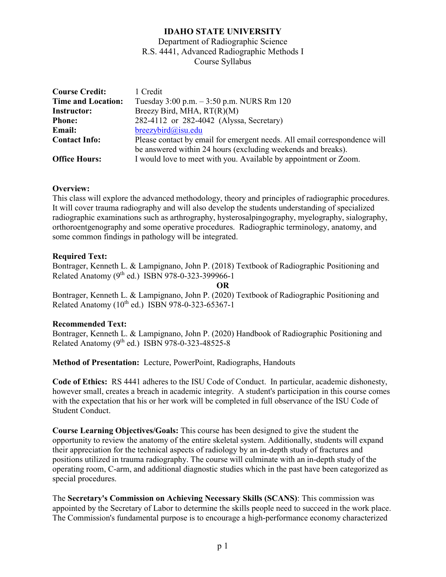## **IDAHO STATE UNIVERSITY**

Department of Radiographic Science R.S. 4441, Advanced Radiographic Methods I Course Syllabus

| <b>Course Credit:</b>     | 1 Credit                                                                  |
|---------------------------|---------------------------------------------------------------------------|
| <b>Time and Location:</b> | Tuesday 3:00 p.m. - 3:50 p.m. NURS Rm 120                                 |
| <b>Instructor:</b>        | Breezy Bird, MHA, RT(R)(M)                                                |
| <b>Phone:</b>             | 282-4112 or 282-4042 (Alyssa, Secretary)                                  |
| <b>Email:</b>             | $breezybird@$ isu.edu                                                     |
| <b>Contact Info:</b>      | Please contact by email for emergent needs. All email correspondence will |
|                           | be answered within 24 hours (excluding weekends and breaks).              |
| <b>Office Hours:</b>      | I would love to meet with you. Available by appointment or Zoom.          |

### **Overview:**

This class will explore the advanced methodology, theory and principles of radiographic procedures. It will cover trauma radiography and will also develop the students understanding of specialized radiographic examinations such as arthrography, hysterosalpingography, myelography, sialography, orthoroentgenography and some operative procedures. Radiographic terminology, anatomy, and some common findings in pathology will be integrated.

### **Required Text:**

Bontrager, Kenneth L. & Lampignano, John P. (2018) Textbook of Radiographic Positioning and Related Anatomy  $(9^{th}$  ed.) ISBN 978-0-323-399966-1

**OR** Bontrager, Kenneth L. & Lampignano, John P. (2020) Textbook of Radiographic Positioning and Related Anatomy ( $10^{th}$  ed.) ISBN 978-0-323-65367-1

### **Recommended Text:**

Bontrager, Kenneth L. & Lampignano, John P. (2020) Handbook of Radiographic Positioning and Related Anatomy  $(9^{th}$  ed.) ISBN 978-0-323-48525-8

**Method of Presentation:** Lecture, PowerPoint, Radiographs, Handouts

**Code of Ethics:** RS 4441 adheres to the ISU Code of Conduct. In particular, academic dishonesty, however small, creates a breach in academic integrity. A student's participation in this course comes with the expectation that his or her work will be completed in full observance of the ISU Code of Student Conduct.

**Course Learning Objectives/Goals:** This course has been designed to give the student the opportunity to review the anatomy of the entire skeletal system. Additionally, students will expand their appreciation for the technical aspects of radiology by an in-depth study of fractures and positions utilized in trauma radiography. The course will culminate with an in-depth study of the operating room, C-arm, and additional diagnostic studies which in the past have been categorized as special procedures.

The **Secretary's Commission on Achieving Necessary Skills (SCANS)**: This commission was appointed by the Secretary of Labor to determine the skills people need to succeed in the work place. The Commission's fundamental purpose is to encourage a high-performance economy characterized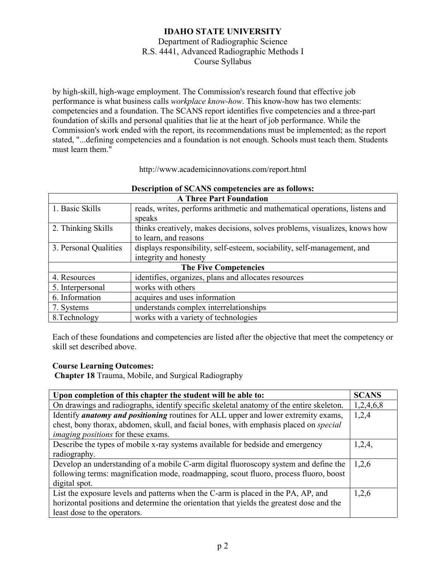by high-skill, high-wage employment. The Commission's research found that effective job performance is what business calls *workplace know-how*. This know-how has two elements: competencies and a foundation. The SCANS report identifies five competencies and a three-part foundation of skills and personal qualities that lie at the heart of job performance. While the Commission's work ended with the report, its recommendations must be implemented; as the report stated, "...defining competencies and a foundation is not enough. Schools must teach them. Students must learn them."

| Description of SCANS competencies are as follows: |                                                                             |  |
|---------------------------------------------------|-----------------------------------------------------------------------------|--|
| <b>A Three Part Foundation</b>                    |                                                                             |  |
| 1. Basic Skills                                   | reads, writes, performs arithmetic and mathematical operations, listens and |  |
|                                                   | speaks                                                                      |  |
| 2. Thinking Skills                                | thinks creatively, makes decisions, solves problems, visualizes, knows how  |  |
|                                                   | to learn, and reasons                                                       |  |
| 3. Personal Qualities                             | displays responsibility, self-esteem, sociability, self-management, and     |  |
|                                                   | integrity and honesty                                                       |  |
|                                                   | <b>The Five Competencies</b>                                                |  |
| 4. Resources                                      | identifies, organizes, plans and allocates resources                        |  |
| 5. Interpersonal                                  | works with others                                                           |  |
| 6. Information                                    | acquires and uses information                                               |  |
| 7. Systems                                        | understands complex interrelationships                                      |  |
| 8. Technology                                     | works with a variety of technologies                                        |  |

| http://www.academicinnovations.com/report.html |
|------------------------------------------------|
|------------------------------------------------|

Each of these foundations and competencies are listed after the objective that meet the competency or skill set described above.

### **Course Learning Outcomes:**

**Chapter 18** Trauma, Mobile, and Surgical Radiography

| Upon completion of this chapter the student will be able to:                              |       |  |
|-------------------------------------------------------------------------------------------|-------|--|
| On drawings and radiographs, identify specific skeletal anatomy of the entire skeleton.   |       |  |
| Identify <i>anatomy and positioning</i> routines for ALL upper and lower extremity exams, |       |  |
| chest, bony thorax, abdomen, skull, and facial bones, with emphasis placed on special     |       |  |
| <i>imaging positions</i> for these exams.                                                 |       |  |
| Describe the types of mobile x-ray systems available for bedside and emergency            |       |  |
| radiography.                                                                              |       |  |
| Develop an understanding of a mobile C-arm digital fluoroscopy system and define the      | 1,2,6 |  |
| following terms: magnification mode, roadmapping, scout fluoro, process fluoro, boost     |       |  |
| digital spot.                                                                             |       |  |
| List the exposure levels and patterns when the C-arm is placed in the PA, AP, and         | 1,2,6 |  |
| horizontal positions and determine the orientation that yields the greatest dose and the  |       |  |
| least dose to the operators.                                                              |       |  |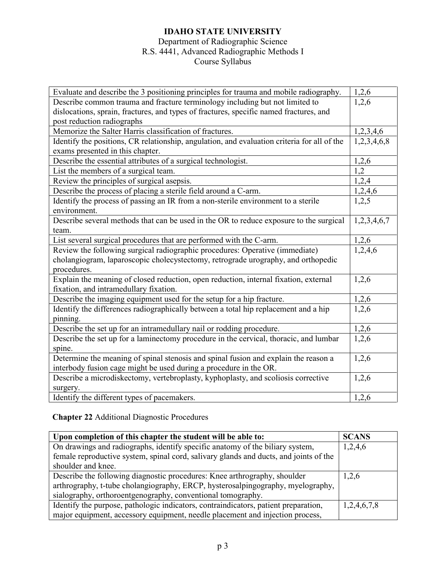# **IDAHO STATE UNIVERSITY**

# Department of Radiographic Science

# R.S. 4441, Advanced Radiographic Methods I

Course Syllabus

| Evaluate and describe the 3 positioning principles for trauma and mobile radiography.       |             |  |
|---------------------------------------------------------------------------------------------|-------------|--|
| Describe common trauma and fracture terminology including but not limited to                |             |  |
| dislocations, sprain, fractures, and types of fractures, specific named fractures, and      |             |  |
| post reduction radiographs                                                                  |             |  |
| Memorize the Salter Harris classification of fractures.                                     |             |  |
| Identify the positions, CR relationship, angulation, and evaluation criteria for all of the |             |  |
| exams presented in this chapter.                                                            |             |  |
| Describe the essential attributes of a surgical technologist.                               | 1,2,6       |  |
| List the members of a surgical team.                                                        | 1,2         |  |
| Review the principles of surgical asepsis.                                                  | 1,2,4       |  |
| Describe the process of placing a sterile field around a C-arm.                             | 1,2,4,6     |  |
| Identify the process of passing an IR from a non-sterile environment to a sterile           | 1,2,5       |  |
| environment.                                                                                |             |  |
| Describe several methods that can be used in the OR to reduce exposure to the surgical      | 1,2,3,4,6,7 |  |
| team.                                                                                       |             |  |
| List several surgical procedures that are performed with the C-arm.                         |             |  |
| Review the following surgical radiographic procedures: Operative (immediate)                |             |  |
| cholangiogram, laparoscopic cholecystectomy, retrograde urography, and orthopedic           |             |  |
| procedures.                                                                                 |             |  |
| Explain the meaning of closed reduction, open reduction, internal fixation, external        |             |  |
| fixation, and intramedullary fixation.                                                      |             |  |
| Describe the imaging equipment used for the setup for a hip fracture.                       |             |  |
| Identify the differences radiographically between a total hip replacement and a hip         |             |  |
| pinning.                                                                                    |             |  |
| Describe the set up for an intramedullary nail or rodding procedure.                        |             |  |
| Describe the set up for a laminectomy procedure in the cervical, thoracic, and lumbar       |             |  |
| spine.                                                                                      |             |  |
| Determine the meaning of spinal stenosis and spinal fusion and explain the reason a         |             |  |
| interbody fusion cage might be used during a procedure in the OR.                           |             |  |
| Describe a microdiskectomy, vertebroplasty, kyphoplasty, and scoliosis corrective           |             |  |
| surgery.                                                                                    |             |  |
| Identify the different types of pacemakers.                                                 |             |  |

# **Chapter 22** Additional Diagnostic Procedures

| Upon completion of this chapter the student will be able to:                          | <b>SCANS</b> |
|---------------------------------------------------------------------------------------|--------------|
| On drawings and radiographs, identify specific anatomy of the biliary system,         | 1,2,4,6      |
| female reproductive system, spinal cord, salivary glands and ducts, and joints of the |              |
| shoulder and knee.                                                                    |              |
| Describe the following diagnostic procedures: Knee arthrography, shoulder             | 1,2,6        |
| arthrography, t-tube cholangiography, ERCP, hysterosalpingography, myelography,       |              |
| sialography, orthoroentgenography, conventional tomography.                           |              |
| Identify the purpose, pathologic indicators, contraindicators, patient preparation,   | 1,2,4,6,7,8  |
| major equipment, accessory equipment, needle placement and injection process,         |              |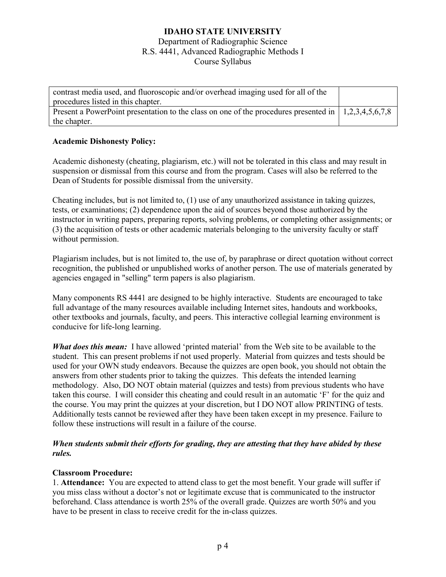| contrast media used, and fluoroscopic and/or overhead imaging used for all of the<br>procedures listed in this chapter. |  |
|-------------------------------------------------------------------------------------------------------------------------|--|
| Present a PowerPoint presentation to the class on one of the procedures presented in $\vert 1,2,3,4,5,6,7,8 \rangle$    |  |
| the chapter.                                                                                                            |  |

### **Academic Dishonesty Policy:**

Academic dishonesty (cheating, plagiarism, etc.) will not be tolerated in this class and may result in suspension or dismissal from this course and from the program. Cases will also be referred to the Dean of Students for possible dismissal from the university.

Cheating includes, but is not limited to, (1) use of any unauthorized assistance in taking quizzes, tests, or examinations; (2) dependence upon the aid of sources beyond those authorized by the instructor in writing papers, preparing reports, solving problems, or completing other assignments; or (3) the acquisition of tests or other academic materials belonging to the university faculty or staff without permission.

Plagiarism includes, but is not limited to, the use of, by paraphrase or direct quotation without correct recognition, the published or unpublished works of another person. The use of materials generated by agencies engaged in "selling" term papers is also plagiarism.

Many components RS 4441 are designed to be highly interactive. Students are encouraged to take full advantage of the many resources available including Internet sites, handouts and workbooks, other textbooks and journals, faculty, and peers. This interactive collegial learning environment is conducive for life-long learning.

*What does this mean:* I have allowed 'printed material' from the Web site to be available to the student. This can present problems if not used properly. Material from quizzes and tests should be used for your OWN study endeavors. Because the quizzes are open book, you should not obtain the answers from other students prior to taking the quizzes. This defeats the intended learning methodology. Also, DO NOT obtain material (quizzes and tests) from previous students who have taken this course. I will consider this cheating and could result in an automatic 'F' for the quiz and the course. You may print the quizzes at your discretion, but I DO NOT allow PRINTING of tests. Additionally tests cannot be reviewed after they have been taken except in my presence. Failure to follow these instructions will result in a failure of the course.

### *When students submit their efforts for grading, they are attesting that they have abided by these rules.*

#### **Classroom Procedure:**

1. **Attendance:** You are expected to attend class to get the most benefit. Your grade will suffer if you miss class without a doctor's not or legitimate excuse that is communicated to the instructor beforehand. Class attendance is worth 25% of the overall grade. Quizzes are worth 50% and you have to be present in class to receive credit for the in-class quizzes.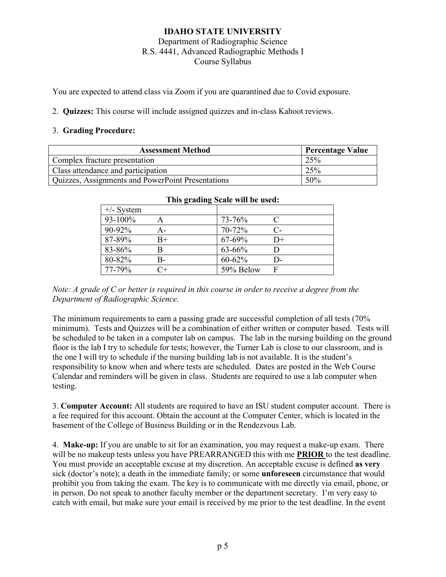You are expected to attend class via Zoom if you are quarantined due to Covid exposure.

2. **Quizzes:** This course will include assigned quizzes and in-class Kahoot reviews.

### 3. **Grading Procedure:**

| <b>Assessment Method</b>                                 | <b>Percentage Value</b> |
|----------------------------------------------------------|-------------------------|
| Complex fracture presentation                            | 25%                     |
| Class attendance and participation                       | 25%                     |
| <b>Quizzes, Assignments and PowerPoint Presentations</b> | 50%                     |

| This grading search the section. |       |           |       |
|----------------------------------|-------|-----------|-------|
| $+/-$ System                     |       |           |       |
| 93-100%                          |       | 73-76%    | C     |
| $90 - 92\%$                      | А-    | 70-72%    | $C$ - |
| 87-89%                           | $B+$  | 67-69%    | $D+$  |
| 83-86%                           |       | 63-66%    |       |
| 80-82%                           | В-    | 60-62%    | D-    |
| 77-79%                           | $C +$ | 59% Below | F     |

#### **This grading Scale will be used:**

*Note: A grade of C or better is required in this course in order to receive a degree from the Department of Radiographic Science.*

The minimum requirements to earn a passing grade are successful completion of all tests (70% minimum). Tests and Quizzes will be a combination of either written or computer based. Tests will be scheduled to be taken in a computer lab on campus. The lab in the nursing building on the ground floor is the lab I try to schedule for tests; however, the Turner Lab is close to our classroom, and is the one I will try to schedule if the nursing building lab is not available. It is the student's responsibility to know when and where tests are scheduled. Dates are posted in the Web Course Calendar and reminders will be given in class. Students are required to use a lab computer when testing.

3. **Computer Account:** All students are required to have an ISU student computer account. There is a fee required for this account. Obtain the account at the Computer Center, which is located in the basement of the College of Business Building or in the Rendezvous Lab.

4. **Make-up:** If you are unable to sit for an examination, you may request a make-up exam. There will be no makeup tests unless you have PREARRANGED this with me **PRIOR** to the test deadline. You must provide an acceptable excuse at my discretion. An acceptable excuse is defined **as very** sick (doctor's note); a death in the immediate family; or some **unforeseen** circumstance that would prohibit you from taking the exam. The key is to communicate with me directly via email, phone, or in person. Do not speak to another faculty member or the department secretary. I'm very easy to catch with email, but make sure your email is received by me prior to the test deadline. In the event